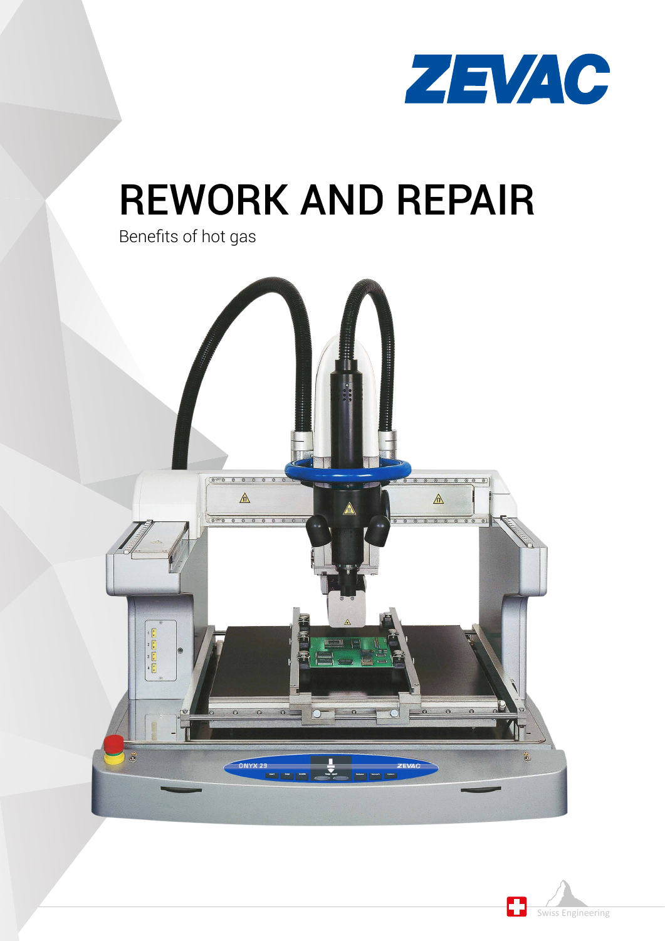

# REWORK AND REPAIR

Benefits of hot gas



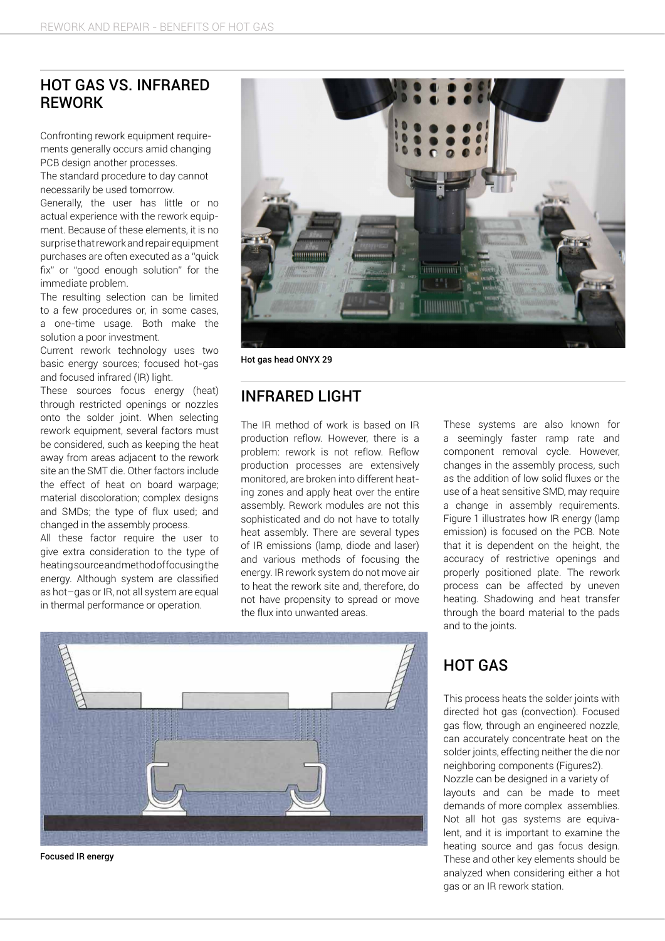# HOT GAS VS. INFRARED REWORK

Confronting rework equipment requirements generally occurs amid changing PCB design another processes.

The standard procedure to day cannot necessarily be used tomorrow.

Generally, the user has little or no actual experience with the rework equipment. Because of these elements, it is no surprise that rework and repair equipment purchases are often executed as a "quick fix" or "good enough solution" for the immediate problem.

The resulting selection can be limited to a few procedures or, in some cases, a one-time usage. Both make the solution a poor investment.

Current rework technology uses two basic energy sources; focused hot-gas and focused infrared (IR) light.

These sources focus energy (heat) through restricted openings or nozzles onto the solder joint. When selecting rework equipment, several factors must be considered, such as keeping the heat away from areas adjacent to the rework site an the SMT die. Other factors include the effect of heat on board warpage; material discoloration; complex designs and SMDs; the type of flux used; and changed in the assembly process.

All these factor require the user to give extra consideration to the type of heating source and method of focusing the energy. Although system are classified as hot–gas or IR, not all system are equal in thermal performance or operation.



Hot gas head ONYX 29

# INFRARED LIGHT

The IR method of work is based on IR production reflow. However, there is a problem: rework is not reflow. Reflow production processes are extensively monitored, are broken into different heating zones and apply heat over the entire assembly. Rework modules are not this sophisticated and do not have to totally heat assembly. There are several types of IR emissions (lamp, diode and laser) and various methods of focusing the energy. IR rework system do not move air to heat the rework site and, therefore, do not have propensity to spread or move the flux into unwanted areas.

These systems are also known for a seemingly faster ramp rate and component removal cycle. However, changes in the assembly process, such as the addition of low solid fluxes or the use of a heat sensitive SMD, may require a change in assembly requirements. Figure 1 illustrates how IR energy (lamp emission) is focused on the PCB. Note that it is dependent on the height, the accuracy of restrictive openings and properly positioned plate. The rework process can be affected by uneven heating. Shadowing and heat transfer through the board material to the pads and to the joints.



Focused IR energy

# HOT GAS

This process heats the solder joints with directed hot gas (convection). Focused gas flow, through an engineered nozzle, can accurately concentrate heat on the solder joints, effecting neither the die nor neighboring components (Figures2). Nozzle can be designed in a variety of layouts and can be made to meet demands of more complex assemblies. Not all hot gas systems are equivalent, and it is important to examine the heating source and gas focus design. These and other key elements should be analyzed when considering either a hot gas or an IR rework station.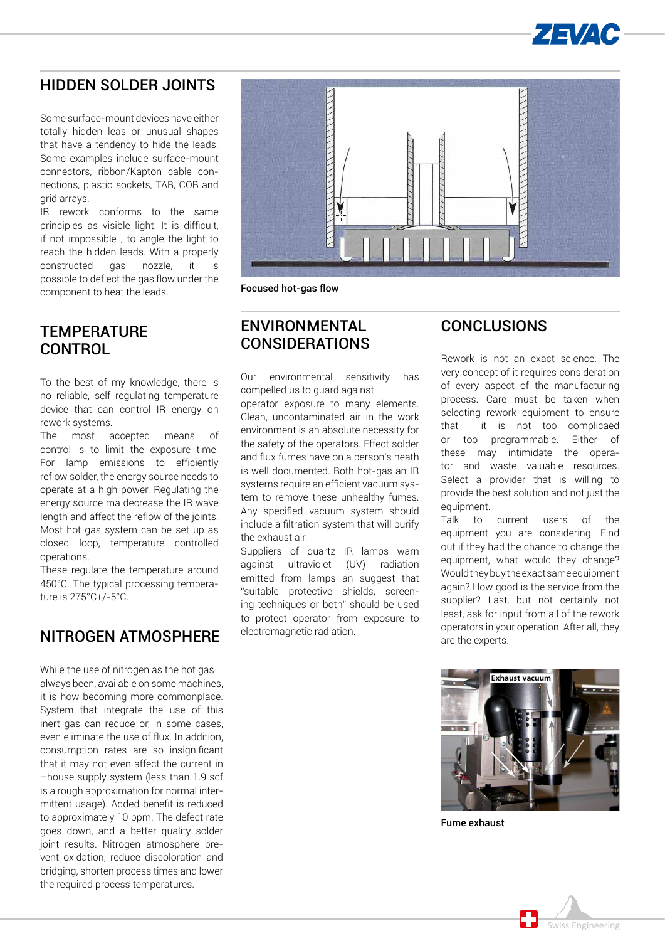

#### HIDDEN SOLDER JOINTS

Some surface-mount devices have either totally hidden leas or unusual shapes that have a tendency to hide the leads. Some examples include surface-mount connectors, ribbon/Kapton cable connections, plastic sockets, TAB, COB and grid arrays.

IR rework conforms to the same principles as visible light. It is difficult, if not impossible , to angle the light to reach the hidden leads. With a properly constructed gas nozzle, it is possible to deflect the gas flow under the component to heat the leads.

#### **TEMPERATURE CONTROL**

To the best of my knowledge, there is no reliable, self regulating temperature device that can control IR energy on rework systems.

The most accepted means of control is to limit the exposure time. For lamp emissions to efficiently reflow solder, the energy source needs to operate at a high power. Regulating the energy source ma decrease the IR wave length and affect the reflow of the joints. Most hot gas system can be set up as closed loop, temperature controlled operations.

These regulate the temperature around 450°C. The typical processing temperature is 275°C+/-5°C.

#### NITROGEN ATMOSPHERE

While the use of nitrogen as the hot gas always been, available on some machines, it is how becoming more commonplace. System that integrate the use of this inert gas can reduce or, in some cases, even eliminate the use of flux. In addition, consumption rates are so insignificant that it may not even affect the current in –house supply system (less than 1.9 scf is a rough approximation for normal intermittent usage). Added benefit is reduced to approximately 10 ppm. The defect rate goes down, and a better quality solder joint results. Nitrogen atmosphere prevent oxidation, reduce discoloration and bridging, shorten process times and lower the required process temperatures.



Focused hot-gas flow

# ENVIRONMENTAL CONSIDERATIONS

Our environmental sensitivity has compelled us to guard against

operator exposure to many elements. Clean, uncontaminated air in the work environment is an absolute necessity for the safety of the operators. Effect solder and flux fumes have on a person's heath is well documented. Both hot-gas an IR systems require an efficient vacuum system to remove these unhealthy fumes. Any specified vacuum system should include a filtration system that will purify the exhaust air.

Suppliers of quartz IR lamps warn against ultraviolet (UV) radiation emitted from lamps an suggest that "suitable protective shields, screening techniques or both" should be used to protect operator from exposure to electromagnetic radiation.

#### **CONCLUSIONS**

Rework is not an exact science. The very concept of it requires consideration of every aspect of the manufacturing process. Care must be taken when selecting rework equipment to ensure that it is not too complicaed or too programmable. Either of these may intimidate the operator and waste valuable resources. Select a provider that is willing to provide the best solution and not just the equipment.

Talk to current users of the equipment you are considering. Find out if they had the chance to change the equipment, what would they change? Would they buy the exact same equipment again? How good is the service from the supplier? Last, but not certainly not least, ask for input from all of the rework operators in your operation. After all, they are the experts.



Fume exhaust